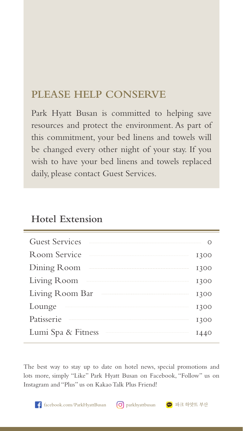### **PLEASE HELP CONSERVE**

Park Hyatt Busan is committed to helping save resources and protect the environment. As part of this commitment, your bed linens and towels will be changed every other night of your stay. If you wish to have your bed linens and towels replaced daily, please contact Guest Services.

### **Hotel Extension**

| <b>Guest Services</b> |      |
|-----------------------|------|
| Room Service          | 1300 |
| Dining Room           | 1300 |
| Living Room           | 1300 |
| Living Room Bar       | 1300 |
| Lounge                | 1300 |
| Patisserie            | 1300 |
| Lumi Spa & Fitness    |      |
|                       |      |

The best way to stay up to date on hotel news, special promotions and lots more, simply "Like" Park Hyatt Busan on Facebook, "Follow" us on Instagram and "Plus" us on Kakao Talk Plus Friend!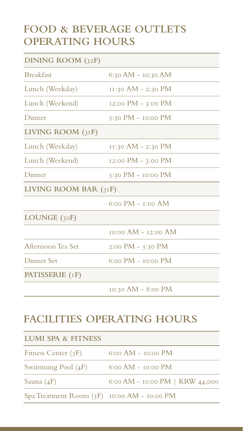### **FOOD & BEVERAGE OUTLETS OPERATING HOURS**

| DINING ROOM (32F)       |                         |  |  |
|-------------------------|-------------------------|--|--|
| <b>Breakfast</b>        | 6:30 AM - 10:30 AM      |  |  |
| Lunch (Weekday)         | 11:30 AM - 2:30 PM      |  |  |
| Lunch (Weekend)         | 12:00 PM - 3:00 PM      |  |  |
| Dinner                  | 5:30 PM - $10:00$ PM    |  |  |
| LIVING ROOM (31F)       |                         |  |  |
| Lunch (Weekday)         | 11:30 AM - 2:30 PM      |  |  |
| Lunch (Weekend)         | 12:00 PM - 3:00 PM      |  |  |
| Dinner                  | 5:30 PM - 10:00 PM      |  |  |
| LIVING ROOM BAR $(31F)$ |                         |  |  |
|                         | 6:00 PM - 1:00 AM       |  |  |
| LOUNGE $(30F)$          |                         |  |  |
|                         | $10:00$ AM - $12:00$ AM |  |  |
| Afternoon Tea Set       | 2:00 PM - 5:30 PM       |  |  |
| Dinner Set              | $6:00$ PM $-$ to:00 PM  |  |  |
| PATISSERIE (IF)         |                         |  |  |
|                         | 10:30 AM - 8:00 PM      |  |  |

### **FACILITIES OPERATING HOURS**

| <b>LUMI SPA &amp; FITNESS</b>               |                                 |  |  |
|---------------------------------------------|---------------------------------|--|--|
| Fitness Center $(5F)$                       | $6:00$ AM - $10:00$ PM          |  |  |
| Swimming Pool $(4F)$                        | $6:00$ AM - $10:00$ PM          |  |  |
| Sauna $(4F)$                                | 6:00 AM - 10:00 PM   KRW 44,000 |  |  |
| Spa Treatment Room (3F) 10:00 AM - 10:00 PM |                                 |  |  |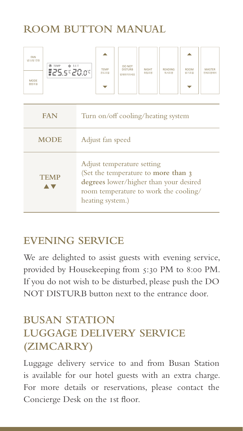# **ROOM BUTTON MANUAL**

| FAN<br>냉/난방 전원      | ே TEMP<br>※ SET | <b>TEMP</b> | DO NOT<br><b>DISTURB</b> | <b>NIGHT</b> | <b>READING</b> | <b>ROOM</b> | <b>MASTER</b> |
|---------------------|-----------------|-------------|--------------------------|--------------|----------------|-------------|---------------|
| <b>MODE</b><br>풍량조절 | E25.5°20.0°     | 온도조절        | 방해하지마세요                  | 취침조명         | 독서조명           | 밝기조절        | 전체조명제어        |

| <b>FAN</b>  | Turn on/off cooling/heating system                                                                                                                                        |
|-------------|---------------------------------------------------------------------------------------------------------------------------------------------------------------------------|
| <b>MODE</b> | Adjust fan speed                                                                                                                                                          |
| <b>TEMP</b> | Adjust temperature setting<br>(Set the temperature to more than 3)<br>degrees lower/higher than your desired<br>room temperature to work the cooling/<br>heating system.) |

# **EVENING SERVICE**

We are delighted to assist guests with evening service, provided by Housekeeping from 5:30 PM to 8:00 PM. If you do not wish to be disturbed, please push the DO NOT DISTURB button next to the entrance door.

# **BUSAN STATION LUGGAGE DELIVERY SERVICE (ZIMCARRY)**

Luggage delivery service to and from Busan Station is available for our hotel guests with an extra charge. For more details or reservations, please contact the Concierge Desk on the 1st floor.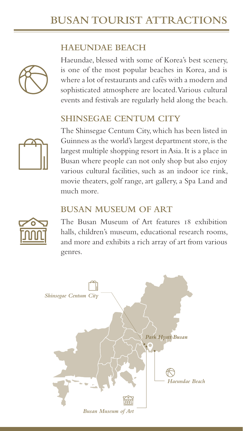# **BUSAN TOURIST ATTRACTIONS**

#### **HAEUNDAE BEACH**



Haeundae, blessed with some of Korea's best scenery, is one of the most popular beaches in Korea, and is where a lot of restaurants and cafés with a modern and sophisticated atmosphere are located. Various cultural events and festivals are regularly held along the beach.

#### **SHINSEGAE CENTUM CITY**



The Shinsegae Centum City, which has been listed in Guinness as the world's largest department store, is the largest multiple shopping resort in Asia. It is a place in Busan where people can not only shop but also enjoy various cultural facilities, such as an indoor ice rink, movie theaters, golf range, art gallery, a Spa Land and much more.

#### **BUSAN MUSEUM OF ART**



The Busan Museum of Art features 18 exhibition halls, children's museum, educational research rooms, and more and exhibits a rich array of art from various genres.